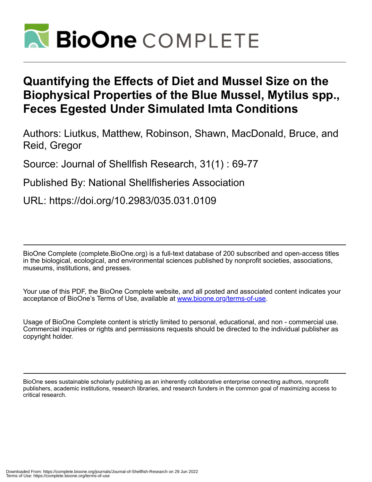

# **Quantifying the Effects of Diet and Mussel Size on the Biophysical Properties of the Blue Mussel, Mytilus spp., Feces Egested Under Simulated Imta Conditions**

Authors: Liutkus, Matthew, Robinson, Shawn, MacDonald, Bruce, and Reid, Gregor

Source: Journal of Shellfish Research, 31(1) : 69-77

Published By: National Shellfisheries Association

URL: https://doi.org/10.2983/035.031.0109

BioOne Complete (complete.BioOne.org) is a full-text database of 200 subscribed and open-access titles in the biological, ecological, and environmental sciences published by nonprofit societies, associations, museums, institutions, and presses.

Your use of this PDF, the BioOne Complete website, and all posted and associated content indicates your acceptance of BioOne's Terms of Use, available at www.bioone.org/terms-of-use.

Usage of BioOne Complete content is strictly limited to personal, educational, and non - commercial use. Commercial inquiries or rights and permissions requests should be directed to the individual publisher as copyright holder.

BioOne sees sustainable scholarly publishing as an inherently collaborative enterprise connecting authors, nonprofit publishers, academic institutions, research libraries, and research funders in the common goal of maximizing access to critical research.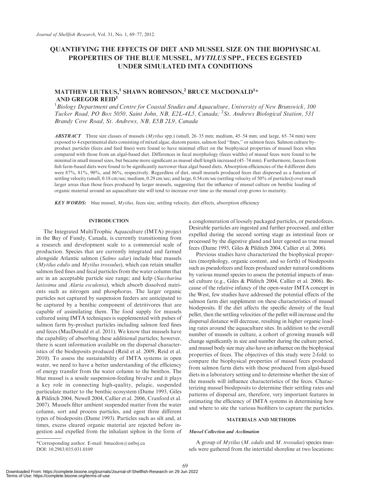# QUANTIFYING THE EFFECTS OF DIET AND MUSSEL SIZE ON THE BIOPHYSICAL PROPERTIES OF THE BLUE MUSSEL, MYTILUS SPP., FECES EGESTED UNDER SIMULATED IMTA CONDITIONS

# MATTHEW LIUTKUS, $^1$  SHAWN ROBINSON, $^2$  BRUCE MACDONALD $^1\ast$ AND GREGOR REID<sup>1</sup>

 $^1$ Biology Department and Centre for Coastal Studies and Aquaculture, University of New Brunswick, 100  $^1$ Tucker Road, PO Box 5050, Saint John, NB, E2L-4L5, Canada; <sup>2</sup>St. Andrews Biological Station, 531 Brandy Cove Road, St. Andrews, NB, E5B 2L9, Canada

ABSTRACT Three size classes of mussels (Mytilus spp.) (small, 26–35 mm; medium, 45–54 mm; and large, 65–74 mm) were exposed to 4 experimental diets consisting of mixed algae, diatom pastes, salmon feed ''fines,'' or salmon feces. Salmon culture byproduct particles (feces and feed fines) were found to have minimal effect on the biophysical properties of mussel feces when compared with those from an algal-based diet. Differences in fecal morphology (feces widths) of mussel feces were found to be minimal in small mussel sizes, but became more significant as mussel shell length increased (45–74 mm). Furthermore, faeces from fish farm-based diets were found to be significantly narrower than algal based diets. Absorption efficiencies of the 4 different diets were 87%, 81%, 90%, and 86%, respectively. Regardless of diet, small mussels produced feces that dispersed as a function of settling velocity (small, 0.18 cm/sec; medium, 0.29 cm/sec; and large, 0.54 cm/sec (settling velocity of 50% of particles)) over much larger areas than those feces produced by larger mussels, suggesting that the influence of mussel culture on benthic loading of organic material around an aquaculture site will tend to increase over time as the mussel crop grows to maturity.

**KEY WORDS:** blue mussel, *Mytilus*, feces size, settling velocity, diet effects, absorption efficiency

# INTRODUCTION

The Integrated MultiTrophic Aquaculture (IMTA) project in the Bay of Fundy, Canada, is currently transitioning from a research and development scale to a commercial scale of production. Species that are currently integrated and farmed alongside Atlantic salmon (Salmo salar) include blue mussels (Mytilus edulis and Mytilus trossulus), which can retain smaller salmon feed fines and fecal particles from the water column that are in an acceptable particle size range; and kelp (Saccharina latissima and Alaria esculenta), which absorb dissolved nutrients such as nitrogen and phosphorus. The larger organic particles not captured by suspension feeders are anticipated to be captured by a benthic component of detritivores that are capable of assimilating them. The food supply for mussels cultured using IMTA techniques is supplemented with pulses of salmon farm by-product particles including salmon feed fines and feces (MacDonald et al. 2011). We know that mussels have the capability of absorbing these additional particles; however, there is scant information available on the dispersal characteristics of the biodeposits produced (Reid et al. 2009, Reid et al. 2010). To assess the sustainability of IMTA systems in open water, we need to have a better understanding of the efficiency of energy transfer from the water column to the benthos. The blue mussel is a sessile suspension-feeding bivalve and it plays a key role in connecting high-quality, pelagic, suspended particulate matter to the benthic ecosystem (Dame 1993, Giles & Pilditch 2004, Newell 2004, Callier et al. 2006, Cranford et al. 2007). Mussels filter ambient suspended matter from the water column, sort and process particles, and egest three different types of biodeposits (Dame 1993). Particles such as silt and, at times, excess cleared organic material are rejected before ingestion and expelled from the inhalant siphon in the form of a conglomeration of loosely packaged particles, or pseudofeces. Desirable particles are ingested and further processed, and either expelled during the second sorting stage as intestinal feces or processed by the digestive gland and later egested as true mussel feces (Dame 1993, Giles & Pilditch 2004, Callier et al. 2006).

Previous studies have characterized the biophysical properties (morphology, organic content, and so forth) of biodeposits such as pseudofeces and feces produced under natural conditions by various mussel species to assess the potential impacts of mussel culture (e.g., Giles & Pilditch 2004, Callier et al. 2006). Because of the relative infancy of the open-water IMTA concept in the West, few studies have addressed the potential effects of the salmon farm diet supplement on these characteristics of mussel biodeposits. If the diet affects the specific density of the fecal pellet, then the settling velocities of the pellet will increase and the dispersal distance will decrease, resulting in higher organic loading rates around the aquaculture sites. In addition to the overall number of mussels in culture, a cohort of growing mussels will change significantly in size and number during the culture period, and mussel body size may also have an influence on the biophysical properties of feces. The objectives of this study were 2-fold: to compare the biophysical properties of mussel feces produced from salmon farm diets with those produced from algal-based diets in a laboratory setting and to determine whether the size of the mussels will influence characteristics of the feces. Characterizing mussel biodeposits to determine their settling rates and patterns of dispersal are, therefore, very important features in estimating the efficiency of IMTA systems in determining how and where to site the various biofilters to capture the particles.

# MATERIALS AND METHODS

# Mussel Collection and Acclimation

69

\*Corresponding author. E-mail: bmacdon@unbsj.ca DOI: 10.2983/035.031.0109

A group of  $Mytilus (M.$  edulis and  $M.$  trossulus) species mussels were gathered from the intertidal shoreline at two locations: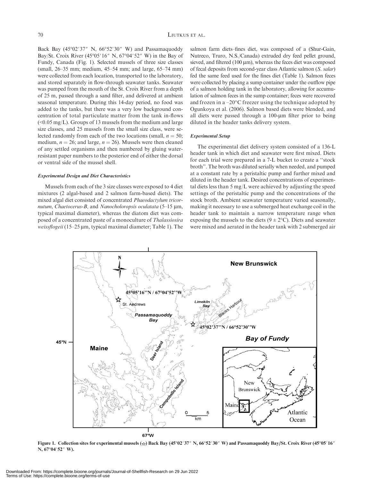Back Bay (45°02'37" N, 66°52'30" W) and Passamaquoddy Bay/St. Croix River  $(45^{\circ}05'16'' \text{ N}, 67^{\circ}04'52'' \text{ W})$  in the Bay of Fundy, Canada (Fig. 1). Selected mussels of three size classes (small, 26–35 mm; medium, 45–54 mm; and large, 65–74 mm) were collected from each location, transported to the laboratory, and stored separately in flow-through seawater tanks. Seawater was pumped from the mouth of the St. Croix River from a depth of 25 m, passed through a sand filter, and delivered at ambient seasonal temperature. During this 14-day period, no food was added to the tanks, but there was a very low background concentration of total particulate matter from the tank in-flows (<0.05 mg/L). Groups of 13 mussels from the medium and large size classes, and 25 mussels from the small size class, were selected randomly from each of the two locations (small,  $n = 50$ ; medium,  $n = 26$ ; and large,  $n = 26$ ). Mussels were then cleaned of any settled organisms and then numbered by gluing waterresistant paper numbers to the posterior end of either the dorsal or ventral side of the mussel shell.

#### Experimental Design and Diet Characteristics

Mussels from each of the 3 size classes were exposed to 4 diet mixtures (2 algal-based and 2 salmon farm-based diets). The mixed algal diet consisted of concentrated Phaeodactylum tricornutum, Chaetocerus-B, and Nanocholoropsis oculatata  $(5-15 \mu m,$ typical maximal diameter), whereas the diatom diet was composed of a concentrated paste of a monoculture of Thalassiosira weissflogeii (15–25 µm, typical maximal diameter; Table 1). The salmon farm diets–fines diet, was composed of a (Shur-Gain, Nutreco, Truro, N.S./Canada) extruded dry feed pellet ground, sieved, and filtered  $(100 \,\mu\text{m})$ , whereas the feces diet was composed of fecal deposits from second-year class Atlantic salmon (S. salar) fed the same feed used for the fines diet (Table 1). Salmon feces were collected by placing a sump container under the outflow pipe of a salmon holding tank in the laboratory, allowing for accumulation of salmon feces in the sump container; feces were recovered and frozen in a  $-20^{\circ}$ C freezer using the technique adopted by Ogunkoya et al. (2006). Salmon based diets were blended, and all diets were passed through a  $100$ - $\mu$ m filter prior to being diluted in the header tanks delivery system.

#### Experimental Setup

The experimental diet delivery system consisted of a 136-L header tank in which diet and seawater were first mixed. Diets for each trial were prepared in a 7-L bucket to create a ''stock broth''. The broth was diluted serially when needed, and pumped at a constant rate by a peristaltic pump and further mixed and diluted in the header tank. Desired concentrations of experimental diets less than 5 mg/L were achieved by adjusting the speed settings of the peristaltic pump and the concentrations of the stock broth. Ambient seawater temperature varied seasonally, making it necessary to use a submerged heat exchange coil in the header tank to maintain a narrow temperature range when exposing the mussels to the diets ( $9 \pm 2$ °C). Diets and seawater were mixed and aerated in the header tank with 2 submerged air



Figure 1. Collection sites for experimental mussels ( $\star$ ) Back Bay (45°02′37″ N, 66°52′30″ W) and Passamaquoddy Bay/St. Croix River (45°05′16″ N, 67°04′52″ W).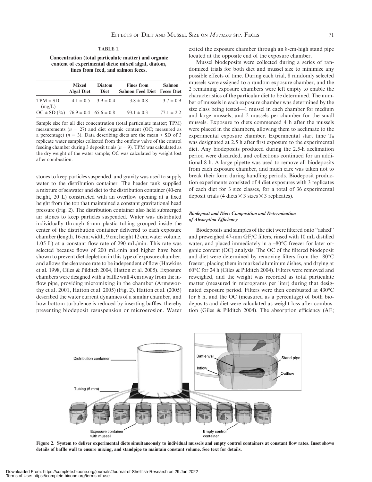#### TABLE 1.

Concentration (total particulate matter) and organic content of experimental diets: mixed algal, diatom, fines from feed, and salmon feces.

|                                                  | Mixed<br><b>Algal Diet</b> | <b>Diatom</b><br>Diet       | <b>Fines from</b><br><b>Salmon Feed Diet Feces Diet</b> | Salmon         |
|--------------------------------------------------|----------------------------|-----------------------------|---------------------------------------------------------|----------------|
| $TPM \pm SD$<br>(mg/L)                           |                            | $4.1 \pm 0.5$ $3.9 \pm 0.4$ | $3.8 \pm 0.8$                                           | $3.7 \pm 0.9$  |
| $OC \pm SD($ % $)$ 76.9 $\pm 0.4$ 65.6 $\pm 0.8$ |                            |                             | $93.1 \pm 0.3$                                          | $77.1 \pm 2.2$ |

Sample size for all diet concentration (total particulate matter; TPM) measurements ( $n = 27$ ) and diet organic content (OC; measured as a percentage) ( $n = 3$ ). Data describing diets are the mean  $\pm$  SD of 3 replicate water samples collected from the outflow valve of the control feeding chamber during 3 deposit trials ( $n = 9$ ). TPM was calculated as the dry weight of the water sample; OC was calculated by weight lost after combustion.

stones to keep particles suspended, and gravity was used to supply water to the distribution container. The header tank supplied a mixture of seawater and diet to the distribution container (40-cm height, 20 L) constructed with an overflow opening at a fixed height from the top that maintained a constant gravitational head pressure (Fig. 2). The distribution container also held submerged air stones to keep particles suspended. Water was distributed individually through 6-mm plastic tubing grouped inside the center of the distribution container delivered to each exposure chamber (length, 16 cm; width, 9 cm; height 12 cm; water volume, 1.05 L) at a constant flow rate of 290 mL/min. This rate was selected because flows of 200 mL/min and higher have been shown to prevent diet depletion in this type of exposure chamber, and allows the clearance rate to be independent of flow (Hawkins et al. 1998, Giles & Pilditch 2004, Hatton et al. 2005). Exposure chambers were designed with a baffle wall 4 cm away from the inflow pipe, providing micromixing in the chamber (Armsworthy et al. 2001, Hatton et al. 2005) (Fig. 2). Hatton et al. (2005) described the water current dynamics of a similar chamber, and how bottom turbulence is reduced by inserting baffles, thereby preventing biodeposit resuspension or microerosion. Water exited the exposure chamber through an 8-cm-high stand pipe located at the opposite end of the exposure chamber.

Mussel biodeposits were collected during a series of randomized trials for both diet and mussel size to minimize any possible effects of time. During each trial, 8 randomly selected mussels were assigned to a random exposure chamber, and the 2 remaining exposure chambers were left empty to enable the characteristics of the particular diet to be determined. The number of mussels in each exposure chamber was determined by the size class being tested—1 mussel in each chamber for medium and large mussels, and 2 mussels per chamber for the small mussels. Exposure to diets commenced 4 h after the mussels were placed in the chambers, allowing them to acclimate to the experimental exposure chamber. Experimental start time  $T_0$ was designated at 2.5 h after first exposure to the experimental diet. Any biodeposits produced during the 2.5-h acclimation period were discarded, and collections continued for an additional 8 h. A large pipette was used to remove all biodeposits from each exposure chamber, and much care was taken not to break their form during handling periods. Biodeposit production experiments consisted of 4 diet exposures with 3 replicates of each diet for 3 size classes, for a total of 36 experimental deposit trials (4 diets  $\times$  3 sizes  $\times$  3 replicates).

# Biodeposit and Diet: Composition and Determination of Absorption Efficiency

Biodeposits and samples of the diet were filtered onto ''ashed'' and preweighed 47-mm GF/C filters, rinsed with 10 mL distilled water, and placed immediately in a  $-80^{\circ}$ C freezer for later organic content (OC) analysis. The OC of the filtered biodeposit and diet were determined by removing filters from the  $-80^{\circ}$ C freezer, placing them in marked aluminum dishes, and drying at 60°C for 24 h (Giles & Pilditch 2004). Filters were removed and reweighed, and the weight was recorded as total particulate matter (measured in micrograms per liter) during that designated exposure period. Filters were then combusted at 430°C for 6 h, and the OC (measured as a percentage) of both biodeposits and diet were calculated as weight loss after combustion (Giles & Pilditch 2004). The absorption efficiency (AE;



Figure 2. System to deliver experimental diets simultaneously to individual mussels and empty control containers at constant flow rates. Inset shows details of baffle wall to ensure mixing, and standpipe to maintain constant volume. See text for details.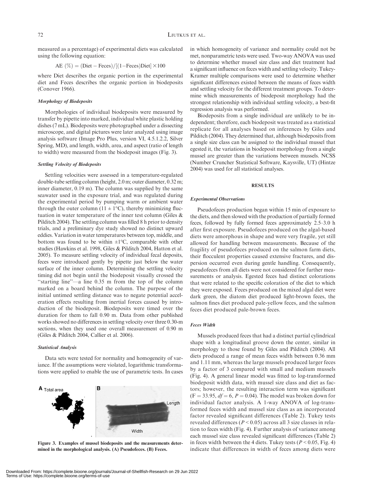measured as a percentage) of experimental diets was calculated using the following equation:

$$
AE (\%) = (Dict - Feces) / [(1 - Feces)Dict] \times 100
$$

where Diet describes the organic portion in the experimental diet and Feces describes the organic portion in biodeposits (Conover 1966).

# Morphology of Biodeposits

Morphologies of individual biodeposits were measured by transfer by pipette into marked, individual white plastic holding dishes (7 mL). Biodeposits were photographed under a dissecting microscope, and digital pictures were later analyzed using image analysis software (Image Pro Plus, version VI, 4.5.1.2.2, Silver Spring, MD), and length, width, area, and aspect (ratio of length to width) were measured from the biodeposit images (Fig. 3).

# Settling Velocity of Biodeposits

Settling velocities were assessed in a temperature-regulated double-tube settling column (height, 2.0 m; outer diameter, 0.32 m; inner diameter, 0.19 m). The column was supplied by the same seawater used in the exposure trial, and was regulated during the experimental period by pumping warm or ambient water through the outer column ( $11 \pm 1$ °C), thereby minimizing fluctuation in water temperature of the inner test column (Giles & Pilditch 2004). The settling column was filled 8 h prior to density trials, and a preliminary dye study showed no distinct upward eddies. Variation in water temperatures between top, middle, and bottom was found to be within  $\pm 1^{\circ}C$ , comparable with other studies (Hawkins et al. 1998, Giles & Pilditch 2004, Hatton et al. 2005). To measure settling velocity of individual fecal deposits, feces were introduced gently by pipette just below the water surface of the inner column. Determining the settling velocity timing did not begin until the biodeposit visually crossed the ''starting line''—a line 0.35 m from the top of the column marked on a board behind the column. The purpose of the initial untimed settling distance was to negate potential acceleration effects resulting from inertial forces caused by introduction of the biodeposit. Biodeposits were timed over the duration for them to fall 0.90 m. Data from other published works showed no differences in settling velocity over three 0.30-m sections, when they used one overall measurement of 0.90 m (Giles & Pilditch 2004, Callier et al. 2006).

#### Statistical Analysis

Data sets were tested for normality and homogeneity of variance. If the assumptions were violated, logarithmic transformations were applied to enable the use of parametric tests. In cases



Figure 3. Examples of mussel biodeposits and the measurements determined in the morphological analysis. (A) Pseudofeces. (B) Feces.

in which homogeneity of variance and normality could not be met, nonparametric tests were used. Two-way ANOVA was used to determine whether mussel size class and diet treatment had a significant influence on feces width and settling velocity. Tukey-Kramer multiple comparisons were used to determine whether significant differences existed between the means of feces width and settling velocity for the different treatment groups. To determine which measurements of biodeposit morphology had the strongest relationship with individual settling velocity, a best-fit regression analysis was performed.

Biodeposits from a single individual are unlikely to be independent; therefore, each biodeposit was treated as a statistical replicate for all analyses based on inferences by Giles and Pilditch (2004). They determined that, although biodeposits from a single size class can be assigned to the individual mussel that egested it, the variations in biodeposit morphology from a single mussel are greater than the variations between mussels. NCSS (Number Cruncher Statistical Software, Kaysville, UT) (Hintze 2004) was used for all statistical analyses.

# **RESULTS**

# Experimental Observations

Pseudofeces production began within 15 min of exposure to the diets, and then slowed with the production of partially formed feces, followed by fully formed feces approximately 2.5–3.0 h after first exposure. Pseudofeces produced on the algal-based diets were amorphous in shape and were very fragile, yet still allowed for handling between measurements. Because of the fragility of pseudofeces produced on the salmon farm diets, their flocculent properties caused extensive fractures, and dispersion occurred even during gentle handling. Consequently, pseudofeces from all diets were not considered for further measurements or analysis. Egested feces had distinct colorations that were related to the specific coloration of the diet to which they were exposed. Feces produced on the mixed algal diet were dark green, the diatom diet produced light-brown feces, the salmon fines diet produced pale-yellow feces, and the salmon feces diet produced pale-brown feces.

# Feces Width

Mussels produced feces that had a distinct partial cylindrical shape with a longitudinal groove down the center, similar in morphology to those found by Giles and Pilditch (2004). All diets produced a range of mean feces width between 0.36 mm and 1.11 mm, whereas the large mussels produced larger feces by a factor of 3 compared with small and medium mussels (Fig. 4). A general linear model was fitted to log-transformed biodeposit width data, with mussel size class and diet as factors; however, the resulting interaction term was significant  $(F = 33.95, df = 6, P = 0.04)$ . The model was broken down for individual factor analysis. A 1-way ANOVA of log-transformed feces width and mussel size class as an incorporated factor revealed significant differences (Table 2). Tukey tests revealed differences ( $P < 0.05$ ) across all 3 size classes in relation to feces width (Fig. 4). Further analysis of variance among each mussel size class revealed significant differences (Table 2) in feces width between the 4 diets. Tukey tests ( $P < 0.05$ , Fig. 4) indicate that differences in width of feces among diets were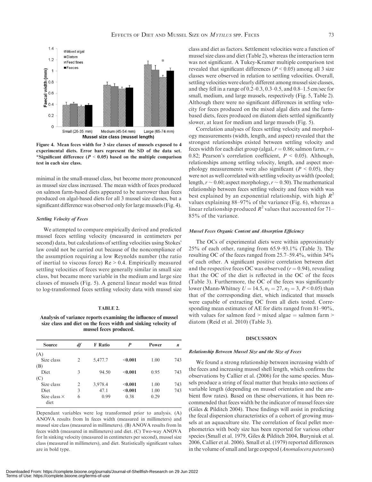

Figure 4. Mean feces width for 3 size classes of mussels exposed to 4 experimental diets. Error bars represent the SD of the data set. \*Significant difference ( $P < 0.05$ ) based on the multiple comparison test in each size class.

minimal in the small-mussel class, but become more pronounced as mussel size class increased. The mean width of feces produced on salmon farm-based diets appeared to be narrower than feces produced on algal-based diets for all 3 mussel size classes, but a significant difference was observed only for large mussels (Fig. 4).

# Settling Velocity of Feces

We attempted to compare empirically derived and predicted mussel feces settling velocity (measured in centimeters per second) data, but calculations of settling velocities using Stokes' law could not be carried out because of the noncompliance of the assumption requiring a low Reynolds number (the ratio of inertial to viscous force)  $Re > 0.4$ . Empirically measured settling velocities of feces were generally similar in small size class, but became more variable in the medium and large size classes of mussels (Fig. 5). A general linear model was fitted to log-transformed feces settling velocity data with mussel size

#### TABLE 2.

Analysis of variance reports examining the influence of mussel size class and diet on the feces width and sinking velocity of mussel feces produced.

| <b>Source</b>               | df             | <b>F</b> Ratio | P       | Power | $\boldsymbol{n}$ |
|-----------------------------|----------------|----------------|---------|-------|------------------|
| (A)                         |                |                |         |       |                  |
| Size class                  | $\overline{2}$ | 5,477.7        | $0.001$ | 1.00  | 743              |
| (B)                         |                |                |         |       |                  |
| <b>Diet</b>                 | 3              | 94.50          | < 0.001 | 0.95  | 743              |
| (C)                         |                |                |         |       |                  |
| Size class                  | 2              | 3,978.4        | < 0.001 | 1.00  | 743              |
| <b>Diet</b>                 | 3              | 47.1           | < 0.001 | 1.00  | 743              |
| Size class $\times$<br>diet | 6              | 0.99           | 0.38    | 0.29  |                  |

Dependant variables were log transformed prior to analysis. (A) ANOVA results from ln feces width (measured in millimeters) and mussel size class (measured in millimeters). (B) ANOVA results from ln feces width (measured in millimeters) and diet. (C) Two-way ANOVA for ln sinking velocity (measured in centimeters per second), mussel size class (measured in millimeters), and diet. Statistically significant values are in bold type.

class and diet as factors. Settlement velocities were a function of mussel size class and diet (Table 2), whereas the interaction term was not significant. A Tukey-Kramer multiple comparison test revealed that significant differences ( $P < 0.05$ ) among all 3 size classes were observed in relation to settling velocities. Overall, settling velocities were clearly different among mussel size classes, and they fell in a range of 0.2–0.3, 0.3–0.5, and 0.8–1.5 cm/sec for small, medium, and large mussels, respectively (Fig. 5, Table 2). Although there were no significant differences in settling velocity for feces produced on the mixed algal diets and the farmbased diets, feces produced on diatom diets settled significantly slower, at least for medium and large mussels (Fig. 5).

Correlation analyses of feces settling velocity and morphology measurements (width, length, and aspect) revealed that the strongest relationships existed between settling velocity and feces width for each diet group (algal,  $r = 0.86$ ; salmon farm,  $r =$ 0.82; Pearson's correlation coefficient,  $P \le 0.05$ ). Although, relationships among settling velocity, length, and aspect morphology measurements were also significant ( $P < 0.05$ ), they were not as well correlated with settling velocity as width (pooled; length,  $r \sim 0.60$ ; aspect morphology,  $r \sim 0.50$ ). The mathematical relationship between feces settling velocity and feces width was best explained by an exponential relationship, with high  $R^2$ values explaining 88–97% of the variance (Fig. 6), whereas a linear relationship produced  $R^2$  values that accounted for 71– 85% of the variance.

# Mussel Feces Organic Content and Absorption Efficiency

The OCs of experimental diets were within approximately 25% of each other, ranging from 65.9–93.1% (Table 3). The resulting OC of the feces ranged from 25.7–59.4%, within 34% of each other. A significant positive correlation between diet and the respective feces OC was observed ( $r = 0.94$ ), revealing that the OC of the diet is reflected in the OC of the feces (Table 3). Furthermore, the OC of the feces was significantly lower (Mann-Whitney  $U = 14.5$ ,  $n_1 = 27$ ,  $n_2 = 3$ ,  $P < 0.05$ ) than that of the corresponding diet, which indicated that mussels were capable of extracting OC from all diets tested. Corresponding mean estimates of AE for diets ranged from 81–90%, with values for salmon feed  $>$  mixed algae  $=$  salmon farm  $>$ diatom (Reid et al. 2010) (Table 3).

# **DISCUSSION**

# Relationship Between Mussel Size and the Size of Feces

We found a strong relationship between increasing width of the feces and increasing mussel shell length, which confirms the observations by Callier et al. (2006) for the same species. Mussels produce a string of fecal matter that breaks into sections of variable length (depending on mussel orientation and the ambient flow rates). Based on these observations, it has been recommended that feces width be the indicator of mussel feces size (Giles & Pilditch 2004). These findings will assist in predicting the fecal dispersion characteristics of a cohort of growing mussels at an aquaculture site. The correlation of fecal pellet morphometrics with body size has been reported for various other species (Small et al. 1979, Giles & Pilditch 2004, Buryniuk et al. 2006, Callier et al. 2006). Small et al. (1979) reported differences in the volume of small and large copepod (Anomalocera patersoni)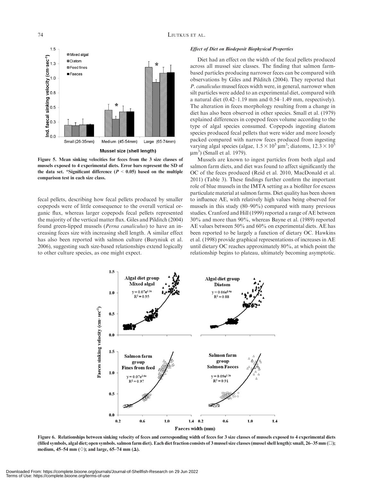

Figure 5. Mean sinking velocities for feces from the 3 size classes of mussels exposed to 4 experimental diets. Error bars represent the SD of the data set. \*Significant difference ( $P < 0.05$ ) based on the multiple comparison test in each size class.

fecal pellets, describing how fecal pellets produced by smaller copepods were of little consequence to the overall vertical organic flux, whereas larger copepods fecal pellets represented the majority of the vertical matter flux. Giles and Pilditch (2004) found green-lipped mussels (Perna canaliculus) to have an increasing feces size with increasing shell length. A similar effect has also been reported with salmon culture (Buryniuk et al. 2006), suggesting such size-based relationships extend logically to other culture species, as one might expect.

# Effect of Diet on Biodeposit Biophysical Properties

Diet had an effect on the width of the fecal pellets produced across all mussel size classes. The finding that salmon farmbased particles producing narrower feces can be compared with observations by Giles and Pilditch (2004). They reported that P. canaliculus mussel feces width were, in general, narrower when silt particles were added to an experimental diet, compared with a natural diet (0.42–1.19 mm and 0.54–1.49 mm, respectively). The alteration in feces morphology resulting from a change in diet has also been observed in other species. Small et al. (1979) explained differences in copepod feces volume according to the type of algal species consumed. Copepods ingesting diatom species produced fecal pellets that were wider and more loosely packed compared with narrow feces produced from ingesting varying algal species (algae,  $1.5 \times 10^5$  µm<sup>3</sup>; diatoms,  $12.3 \times 10^5$  $\mu$ m<sup>3</sup>) (Small et al. 1979).

Mussels are known to ingest particles from both algal and salmon farm diets, and diet was found to affect significantly the OC of the feces produced (Reid et al. 2010, MacDonald et al. 2011) (Table 3). These findings further confirm the important role of blue mussels in the IMTA setting as a biofilter for excess particulate material at salmon farms. Diet quality has been shown to influence AE, with relatively high values being observed for mussels in this study (80–90%) compared with many previous studies. Cranford and Hill (1999) reported a range of AE between 30% and more than 90%, whereas Bayne et al. (1989) reported AE values between 50% and 60% on experimental diets. AE has been reported to be largely a function of dietary OC. Hawkins et al. (1998) provide graphical representations of increases in AE until dietary OC reaches approximately 80%, at which point the relationship begins to plateau, ultimately becoming asymptotic.



Figure 6. Relationships between sinking velocity of feces and corresponding width of feces for 3 size classes of mussels exposed to 4 experimental diets (filled symbols, algal diet; open symbols. salmon farm diet). Each diet fraction consists of 3 mussel size classes (mussel shell length): small, 26–35 mm ( $\square$ ); medium, 45–54 mm ( $\diamond$ ); and large, 65–74 mm ( $\Delta$ ).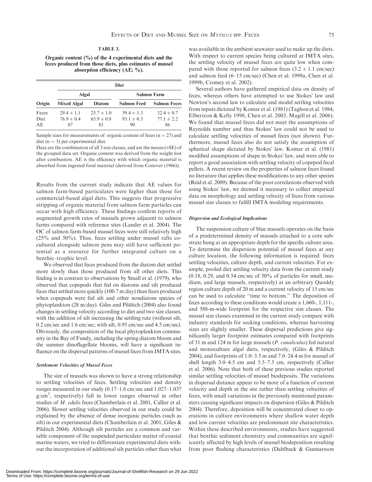#### TABLE 3.

Organic content (%) of the 4 experimental diets and the feces produced from those diets, plus estimates of mussel absorption efficiency (AE; %).

| Origin      | <b>Diet</b>        |                |                    |                     |  |  |
|-------------|--------------------|----------------|--------------------|---------------------|--|--|
|             | Algal              |                | <b>Salmon Farm</b> |                     |  |  |
|             | <b>Mixed Algal</b> | <b>Diatom</b>  | <b>Salmon Feed</b> | <b>Salmon Feces</b> |  |  |
| Feces       | $29.4 \pm 1.1$     | $25.7 \pm 1.0$ | $59.4 \pm 1.3$     | $32.4 \pm 0.7$      |  |  |
| <b>Diet</b> | $769 \pm 04$       | $659 \pm 0.8$  | $93.1 \pm 0.3$     | $77.1 \pm 2.2$      |  |  |
| AE.         | 87                 | 81             | 90                 | 86                  |  |  |

Sample sizes for measurements of organic content of feces  $(n = 27)$  and diet ( $n = 3$ ) per experimental diet.

Data are the combination of all 3 size classes, and are the means (±SE) of the grouped data set. Organic content was derived from the weight lost after combustion. AE is the efficiency with which organic material is absorbed from ingested food material (derived from Conover (1966)).

Results from the current study indicate that AE values for salmon farm-based particulates were higher than those for commercial-based algal diets. This suggests that progressive stripping of organic material from salmon farm particles can occur with high efficiency. These findings confirm reports of augmented growth rates of mussels grown adjacent to salmon farms compared with reference sites (Lander et al. 2004). The OC of salmon farm-based mussel feces were still relatively high (25% and 50%). Thus, feces settling under mussel rafts cocultured alongside salmon pens may still have sufficient potential as a resource for further integrated culture on a benthic–trophic level.

We observed that feces produced from the diatom diet settled more slowly than those produced from all other diets. This finding is in contrast to observations by Small et al. (1979), who observed that copepods that fed on diatoms and silt produced feces that settled more quickly (100.7 m/day) than feces produced when copepods were fed silt and other nondiatom species of phytoplankton (28 m/day). Giles and Pilditch (2004) also found changes in settling velocity according to diet and two size classes, with the addition of silt increasing the settling rate (without silt, 0.2 cm/sec and 1.6 cm/sec; with silt, 0.95 cm/sec and 4.5 cm/sec). Obviously, the composition of the local phytoplankton community in the Bay of Fundy, including the spring diatom bloom and the summer dinoflagellate blooms, will have a significant influence on the dispersal patterns of mussel feces from IMTA sites.

## Settlement Velocities of Mussel Feces

The size of mussels was shown to have a strong relationship to settling velocities of feces. Settling velocities and density ranges measured in our study (0.17–1.6 cm/sec and 1.027–1.037 g/cm<sup>3</sup>, respectively) fall in lower ranges observed in other studies of M. edulis feces (Chamberlain et al. 2001, Callier et al. 2006). Slower settling velocities observed in our study could be explained by the absence of dense inorganic particles (such as silt) in our experimental diets (Chamberlain et al. 2001, Giles & Pilditch 2004). Although silt particles are a common and variable component of the suspended particulate matter of coastal marine waters, we tried to differentiate experimental diets without the incorporation of additional silt particles other than what

was available in the ambient seawater used to make up the diets. With respect to current species being cultured at IMTA sites, the settling velocity of mussel feces are quite low when compared with those reported for salmon feces  $(3.2 \pm 1.1 \text{ cm/sec})$ and salmon feed (6–15 cm/sec) (Chen et al. 1999a, Chen et al. 1999b, Cromey et al. 2002).

Several authors have gathered empirical data on density of feces, whereas others have attempted to use Stokes' law and Newton's second law to calculate and model settling velocities from inputs dictated by Komar et al. (1981) (Taghon et al. 1984, Elberizon & Kelly 1998, Chen et al. 2003, Magill et al. 2006). We found that mussel feces did not meet the assumptions of Reynolds number and thus Stokes' law could not be used to calculate settling velocities of mussel feces (not shown). Furthermore, mussel feces also do not satisfy the assumption of spherical shape dictated by Stokes' law. Komar et al. (1981) modified assumptions of shape in Stokes' law, and were able to report a good association with settling velocity of copepod fecal pellets. A recent review on the properties of salmon feces found no literature that applies these modifications to any other species (Reid et al. 2009). Because of the poor correlations observed with using Stokes' law, we deemed it necessary to collect empirical data on morphology and settling velocity of feces from various mussel size classes to fulfill IMTA modeling requirements.

## Dispersion and Ecological Implications

The suspension culture of blue mussels operates on the basis of a predetermined density of mussels attached to a core substrate hung at an appropriate depth for the specific culture area. To determine the dispersion potential of mussel feces at any culture location, the following information is required: feces settling velocities, culture depth, and current velocities. For example, pooled diet settling velocity data from the current study  $(0.18, 0.29,$  and  $0.54$  cm/sec of  $50\%$  of particles for small, medium, and large mussels, respectively) at an arbitrary Quoddy region culture depth of 20 m and a current velocity of 15 cm/sec can be used to calculate ''time to bottom.'' The deposition of feces according to these conditions would create a 1,660-, 1,111-, and 588-m-wide footprint for the respective size classes. The mussel size classes examined in the current study compare with industry standards for socking conditions, whereas harvesting sizes are slightly smaller. These dispersal predictions give significantly larger footprint estimates compared with footprints of 31 m and 124 m for large mussels (P. canaliculus) fed natural and monoculture algal diets, respectively, (Giles & Pilditch 2004), and footprints of 1.0–3.5 m and 7.0–24.4 m for mussel of shell length 3.0–4.5 cm and 5.5–7.5 cm, respectively (Callier et al. 2006). Note that both of these previous studies reported similar settling velocities of mussel biodeposits. The variations in dispersal distance appear to be more of a function of current velocity and depth at the site rather than settling velocities of feces, with small variations in the previously mentioned parameters causing significant impacts on dispersion (Giles & Pilditch 2004). Therefore, deposition will be concentrated closer to operations in culture environments where shallow water depth and low current velocities are predominant site characteristics. Within these described environments, studies have suggested that benthic sediment chemistry and communities are significantly affected by high levels of mussel biodeposition resulting from poor flushing characteristics (Dahlback & Gunnarsson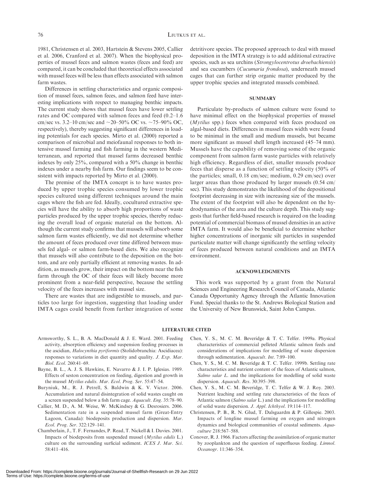1981, Christensen et al. 2003, Hartstein & Stevens 2005, Callier et al. 2006, Cranford et al. 2007). When the biophysical properties of mussel feces and salmon wastes (feces and feed) are compared, it can be concluded that theoretical effects associated with mussel feces will be less than effects associated with salmon farm wastes.

Differences in settling characteristics and organic composition of mussel feces, salmon feces, and salmon feed have interesting implications with respect to managing benthic impacts. The current study shows that mussel feces have lower settling rates and OC compared with salmon feces and feed (0.2–1.6 cm/sec vs. 3.2–10 cm/sec and  $\sim$ 20–50% OC vs.  $\sim$ 75–90% OC, respectively), thereby suggesting significant differences in loading potentials for each species. Mirto et al. (2000) reported a comparison of microbial and meiofaunal responses to both intensive mussel farming and fish farming in the western Mediterranean, and reported that mussel farms decreased benthic indexes by only 25%, compared with a 50% change in benthic indexes under a nearby fish farm. Our findings seem to be consistent with impacts reported by Mirto et al. (2000).

The premise of the IMTA concept is to have wastes produced by upper trophic species consumed by lower trophic species cultured using different techniques around the main cages where the fish are fed. Ideally, cocultured extractive species will have the ability to absorb high proportions of waste particles produced by the upper trophic species, thereby reducing the overall load of organic material on the bottom. Although the current study confirms that mussels will absorb some salmon farm wastes efficiently, we did not determine whether the amount of feces produced over time differed between mussels fed algal- or salmon farm-based diets. We also recognize that mussels will also contribute to the deposition on the bottom, and are only partially efficient at removing wastes. In addition, as mussels grow, their impact on the bottom near the fish farm through the OC of their feces will likely become more prominent from a near-field perspective, because the settling velocity of the feces increases with mussel size.

There are wastes that are indigestible to mussels, and particles too large for ingestion, suggesting that loading under IMTA cages could benefit from further integration of some detritivore species. The proposed approach to deal with mussel deposition in the IMTA strategy is to add additional extractive species, such as sea urchins (Strongylocentrotus droebachiensis) and sea cucumbers (Cucumaria frondosa), underneath mussel cages that can further strip organic matter produced by the upper trophic species and integrated mussels combined.

#### **SUMMARY**

Particulate by-products of salmon culture were found to have minimal effect on the biophysical properties of mussel (Mytilus spp.) feces when compared with feces produced on algal-based diets. Differences in mussel feces width were found to be minimal in the small and medium mussels, but became more significant as mussel shell length increased (45–74 mm). Mussels have the capability of removing some of the organic component from salmon farm waste particles with relatively high efficiency. Regardless of diet, smaller mussels produce feces that disperse as a function of settling velocity (50% of the particles; small, 0.18 cm/sec; medium, 0.29 cm/sec) over larger areas than those produced by larger mussels (0.54 cm/ sec). This study demonstrates the likelihood of the depositional footprint decreasing in size with increasing size of the mussels. The extent of the footprint will also be dependent on the hydrodynamics of the area and the culture depth. This study suggests that further field-based research is required on the loading potential of commercial biomass of mussel densities in an active IMTA farm. It would also be beneficial to determine whether higher concentrations of inorganic silt particles in suspended particulate matter will change significantly the settling velocity of feces produced between natural conditions and an IMTA environment.

# ACKNOWLEDGMENTS

This work was supported by a grant from the Natural Sciences and Engineering Research Council of Canada, Atlantic Canada Opportunity Agency through the Atlantic Innovation Fund. Special thanks to the St. Andrews Biological Station and the University of New Brunswick, Saint John Campus.

# LITERATURE CITED

- Armsworthy, S. L., B. A. MacDonald & J. E. Ward. 2001. Feeding activity, absorption efficiency and suspension feeding processes in the ascidian, Halocynthia pyriformis (Stolidobranchia: Ascidiacea): responses to variations in diet quantity and quality. J. Exp. Mar. Biol. Ecol. 260:41–69.
- Bayne, B. L., A. J. S. Hawkins, E. Navarro & J. I. P. Iglesias. 1989. Effects of seston concentration on feeding, digestion and growth in the mussel Mytilus edulis. Mar. Ecol. Prog. Ser. 55:47–54.
- Buryniuk, M., R. J. Petrell, S. Baldwin & K. V. Victor. 2006. Accumulation and natural disintegration of solid wastes caught on a screen suspended below a fish farm cage. Aquacult. Eng. 35:78–90.
- Callier, M. D., A. M. Weise, W. McKindsey & G. Desrosiers. 2006. Sedimentation rate in a suspended mussel farm (Great-Entry Lagoon, Canada): biodeposits production and dispersion. Mar. Ecol. Prog. Ser. 322:129–141.
- Chamberlain, J., T. F. Fernandes, P. Read, T. Nickell & I. Davies. 2001. Impacts of biodeposits from suspended mussel (Mytilus edulis L.) culture on the surrounding surficial sediment. ICES J. Mar. Sci. 58:411–416.
- Chen, Y. S., M. C. M. Beveridge & T. C. Telfer. 1999a. Physical characteristics of commercial pelleted Atlantic salmon feeds and considerations of implications for modelling of waste dispersion through sedimentation. Aquacult. Int. 7:89–100.
- Chen, Y. S., M. C. M. Beveridge & T. C. Telfer. 1999b. Settling rate characteristics and nutrient content of the feces of Atlantic salmon, Salmo salar L. and the implications for modelling of solid waste dispersion. Aquacult. Res. 30:395–398.
- Chen, Y. S., M. C. M. Beveridge, T. C. Telfer & W. J. Roy. 2003. Nutrient leaching and settling rate characteristics of the feces of Atlantic salmon (Salmo salar L.) and the implications for modelling of solid waste dispersion. J. Appl. Ichthyol. 19:114–117.
- Christensen, P. B., R. N. Glud, T. Dalsgaardm & P. Gillespie. 2003. Impacts of longline mussel farming on oxygen and nitrogen dynamics and biological communities of coastal sediments. Aquaculture 218:567–588.
- Conover, R. J. 1966. Factors affecting the assimilation of organic matter by zooplankton and the question of superfluous feeding. Limnol. Oceanogr. 11:346–354.